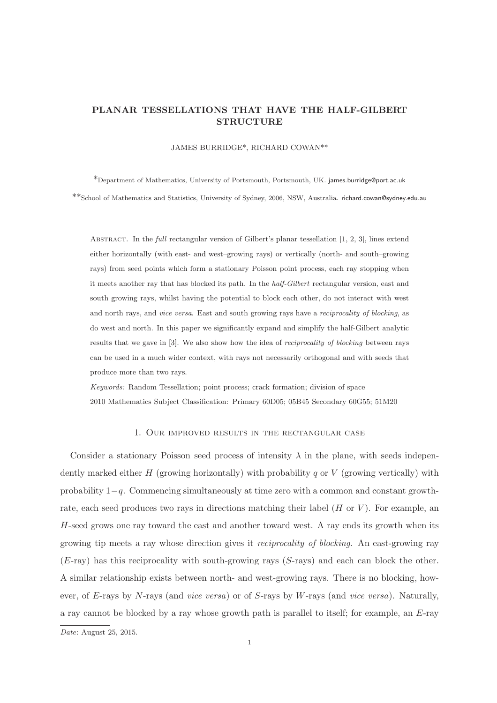# PLANAR TESSELLATIONS THAT HAVE THE HALF-GILBERT STRUCTURE

JAMES BURRIDGE\*, RICHARD COWAN\*\*

\*Department of Mathematics, University of Portsmouth, Portsmouth, UK. james.burridge@port.ac.uk \*\*School of Mathematics and Statistics, University of Sydney, 2006, NSW, Australia. richard.cowan@sydney.edu.au

Abstract. In the *full* rectangular version of Gilbert's planar tessellation [1, 2, 3], lines extend either horizontally (with east- and west–growing rays) or vertically (north- and south–growing rays) from seed points which form a stationary Poisson point process, each ray stopping when it meets another ray that has blocked its path. In the *half-Gilbert* rectangular version, east and south growing rays, whilst having the potential to block each other, do not interact with west and north rays, and *vice versa*. East and south growing rays have a *reciprocality of blocking*, as do west and north. In this paper we significantly expand and simplify the half-Gilbert analytic results that we gave in [3]. We also show how the idea of *reciprocality of blocking* between rays can be used in a much wider context, with rays not necessarily orthogonal and with seeds that produce more than two rays.

*Keywords:* Random Tessellation; point process; crack formation; division of space 2010 Mathematics Subject Classification: Primary 60D05; 05B45 Secondary 60G55; 51M20

# 1. Our improved results in the rectangular case

Consider a stationary Poisson seed process of intensity  $\lambda$  in the plane, with seeds independently marked either H (growing horizontally) with probability q or V (growing vertically) with probability 1−q. Commencing simultaneously at time zero with a common and constant growthrate, each seed produces two rays in directions matching their label  $(H \text{ or } V)$ . For example, an  $H$ -seed grows one ray toward the east and another toward west. A ray ends its growth when its growing tip meets a ray whose direction gives it reciprocality of blocking. An east-growing ray  $(E-ray)$  has this reciprocality with south-growing rays  $(S-rays)$  and each can block the other. A similar relationship exists between north- and west-growing rays. There is no blocking, however, of E-rays by N-rays (and vice versa) or of S-rays by W-rays (and vice versa). Naturally, a ray cannot be blocked by a ray whose growth path is parallel to itself; for example, an E-ray

*Date*: August 25, 2015.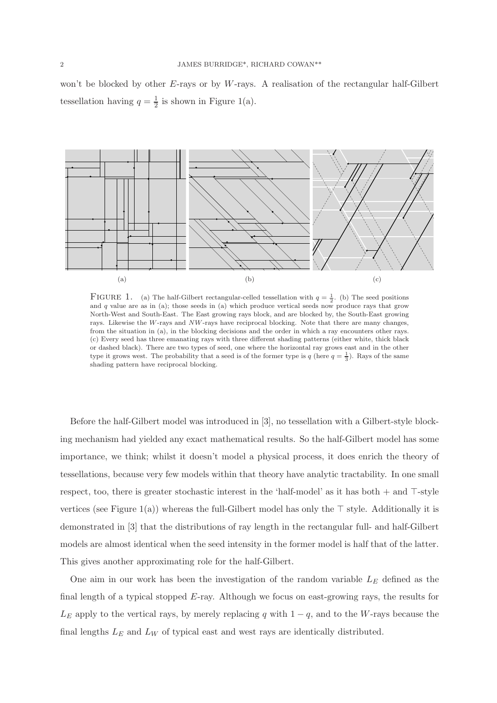won't be blocked by other  $E$ -rays or by W-rays. A realisation of the rectangular half-Gilbert tessellation having  $q = \frac{1}{2}$  is shown in Figure 1(a).



FIGURE 1. (a) The half-Gilbert rectangular-celled tessellation with  $q = \frac{1}{2}$ . (b) The seed positions and  $q$  value are as in (a); those seeds in (a) which produce vertical seeds now produce rays that grow North-West and South-East. The East growing rays block, and are blocked by, the South-East growing rays. Likewise the W-rays and NW-rays have reciprocal blocking. Note that there are many changes, from the situation in (a), in the blocking decisions and the order in which a ray encounters other rays. (c) Every seed has three emanating rays with three different shading patterns (either white, thick black or dashed black). There are two types of seed, one where the horizontal ray grows east and in the other type it grows west. The probability that a seed is of the former type is  $q$  (here  $q = \frac{1}{3}$ ). Rays of the same shading pattern have reciprocal blocking.

Before the half-Gilbert model was introduced in [3], no tessellation with a Gilbert-style blocking mechanism had yielded any exact mathematical results. So the half-Gilbert model has some importance, we think; whilst it doesn't model a physical process, it does enrich the theory of tessellations, because very few models within that theory have analytic tractability. In one small respect, too, there is greater stochastic interest in the 'half-model' as it has both + and ⊤-style vertices (see Figure 1(a)) whereas the full-Gilbert model has only the ⊤ style. Additionally it is demonstrated in [3] that the distributions of ray length in the rectangular full- and half-Gilbert models are almost identical when the seed intensity in the former model is half that of the latter. This gives another approximating role for the half-Gilbert.

One aim in our work has been the investigation of the random variable  $L<sub>E</sub>$  defined as the final length of a typical stopped  $E$ -ray. Although we focus on east-growing rays, the results for  $L<sub>E</sub>$  apply to the vertical rays, by merely replacing q with  $1 - q$ , and to the W-rays because the final lengths  $L_E$  and  $L_W$  of typical east and west rays are identically distributed.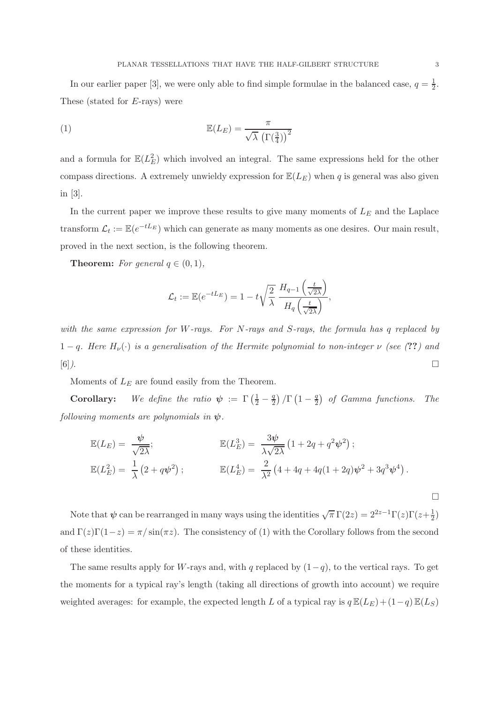In our earlier paper [3], we were only able to find simple formulae in the balanced case,  $q = \frac{1}{2}$  $rac{1}{2}$ . These (stated for E-rays) were

(1) 
$$
\mathbb{E}(L_E) = \frac{\pi}{\sqrt{\lambda} \left(\Gamma(\frac{3}{4})\right)^2}
$$

and a formula for  $\mathbb{E}(L_E^2)$  which involved an integral. The same expressions held for the other compass directions. A extremely unwieldy expression for  $\mathbb{E}(L_E)$  when q is general was also given in [3].

In the current paper we improve these results to give many moments of  $L<sub>E</sub>$  and the Laplace transform  $\mathcal{L}_t := \mathbb{E}(e^{-tL_E})$  which can generate as many moments as one desires. Our main result, proved in the next section, is the following theorem.

**Theorem:** For general  $q \in (0,1)$ ,

$$
\mathcal{L}_t := \mathbb{E}(e^{-tL_E}) = 1 - t\sqrt{\frac{2}{\lambda}} \frac{H_{q-1}\left(\frac{t}{\sqrt{2\lambda}}\right)}{H_q\left(\frac{t}{\sqrt{2\lambda}}\right)},
$$

with the same expression for W-rays. For N-rays and S-rays, the formula has q replaced by 1 − q. Here  $H_{\nu}(\cdot)$  is a generalisation of the Hermite polynomial to non-integer  $\nu$  (see (??) and  $[6]$ ).

Moments of  $L<sub>E</sub>$  are found easily from the Theorem.

**Corollary:** We define the ratio  $\psi := \Gamma\left(\frac{1}{2} - \frac{q}{2}\right)$  $\frac{q}{2}$ ) /  $\Gamma\left(1-\frac{q}{2}\right)$  $\frac{q}{2}$  of Gamma functions. The following moments are polynomials in  $\psi$ .

$$
\mathbb{E}(L_E) = \frac{\psi}{\sqrt{2\lambda}}; \qquad \mathbb{E}(L_E^3) = \frac{3\psi}{\lambda\sqrt{2\lambda}} \left(1 + 2q + q^2\psi^2\right); \n\mathbb{E}(L_E^2) = \frac{1}{\lambda} \left(2 + q\psi^2\right); \qquad \mathbb{E}(L_E^4) = \frac{2}{\lambda^2} \left(4 + 4q + 4q(1 + 2q)\psi^2 + 3q^3\psi^4\right).
$$

Note that  $\psi$  can be rearranged in many ways using the identities  $\sqrt{\pi} \Gamma(2z) = 2^{2z-1} \Gamma(z) \Gamma(z + \frac{1}{2z})$  $(\frac{1}{2})$ and  $\Gamma(z)\Gamma(1-z) = \pi/\sin(\pi z)$ . The consistency of (1) with the Corollary follows from the second of these identities.

The same results apply for W-rays and, with q replaced by  $(1-q)$ , to the vertical rays. To get the moments for a typical ray's length (taking all directions of growth into account) we require weighted averages: for example, the expected length L of a typical ray is  $q \mathbb{E}(L_E) + (1-q) \mathbb{E}(L_S)$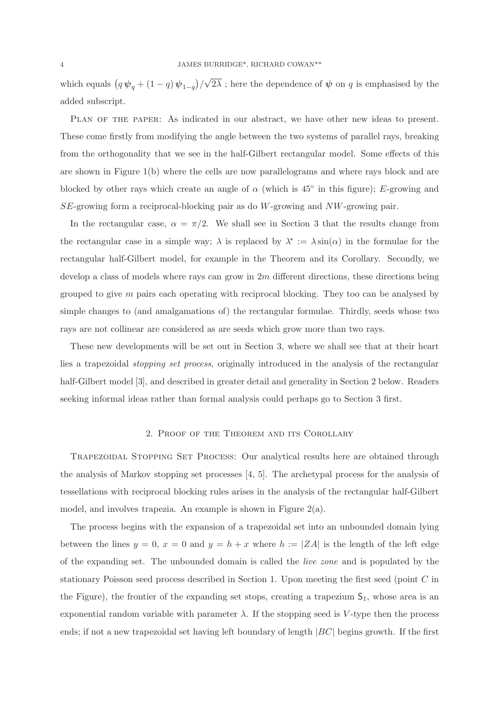which equals  $(q \psi_q + (1-q) \psi_{1-q})/\sqrt{2\lambda}$ ; here the dependence of  $\psi$  on q is emphasised by the added subscript.

Plan of the paper: As indicated in our abstract, we have other new ideas to present. These come firstly from modifying the angle between the two systems of parallel rays, breaking from the orthogonality that we see in the half-Gilbert rectangular model. Some effects of this are shown in Figure 1(b) where the cells are now parallelograms and where rays block and are blocked by other rays which create an angle of  $\alpha$  (which is 45<sup>°</sup> in this figure); E-growing and SE-growing form a reciprocal-blocking pair as do W-growing and NW-growing pair.

In the rectangular case,  $\alpha = \pi/2$ . We shall see in Section 3 that the results change from the rectangular case in a simple way;  $\lambda$  is replaced by  $\lambda^* := \lambda \sin(\alpha)$  in the formulae for the rectangular half-Gilbert model, for example in the Theorem and its Corollary. Secondly, we develop a class of models where rays can grow in  $2m$  different directions, these directions being grouped to give  $m$  pairs each operating with reciprocal blocking. They too can be analysed by simple changes to (and amalgamations of) the rectangular formulae. Thirdly, seeds whose two rays are not collinear are considered as are seeds which grow more than two rays.

These new developments will be set out in Section 3, where we shall see that at their heart lies a trapezoidal stopping set process, originally introduced in the analysis of the rectangular half-Gilbert model [3], and described in greater detail and generality in Section 2 below. Readers seeking informal ideas rather than formal analysis could perhaps go to Section 3 first.

## 2. Proof of the Theorem and its Corollary

Trapezoidal Stopping Set Process: Our analytical results here are obtained through the analysis of Markov stopping set processes [4, 5]. The archetypal process for the analysis of tessellations with reciprocal blocking rules arises in the analysis of the rectangular half-Gilbert model, and involves trapezia. An example is shown in Figure 2(a).

The process begins with the expansion of a trapezoidal set into an unbounded domain lying between the lines  $y = 0$ ,  $x = 0$  and  $y = h + x$  where  $h := |ZA|$  is the length of the left edge of the expanding set. The unbounded domain is called the live zone and is populated by the stationary Poisson seed process described in Section 1. Upon meeting the first seed (point C in the Figure), the frontier of the expanding set stops, creating a trapezium  $S_1$ , whose area is an exponential random variable with parameter  $\lambda$ . If the stopping seed is V-type then the process ends; if not a new trapezoidal set having left boundary of length  $|BC|$  begins growth. If the first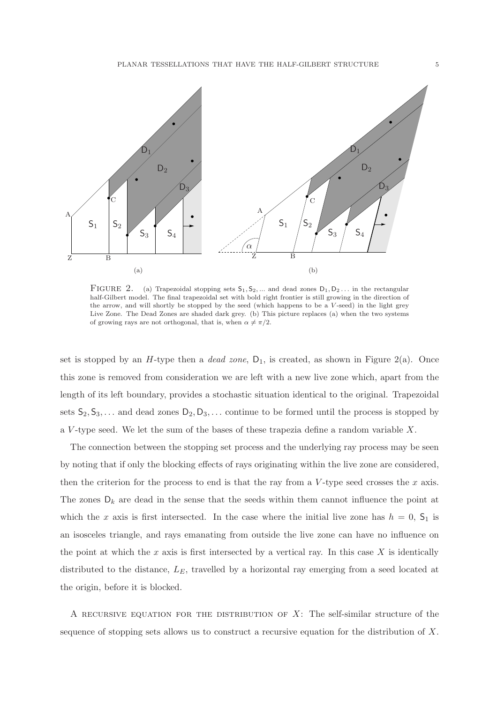

FIGURE 2. (a) Trapezoidal stopping sets  $S_1, S_2, ...$  and dead zones  $D_1, D_2, ...$  in the rectangular half-Gilbert model. The final trapezoidal set with bold right frontier is still growing in the direction of the arrow, and will shortly be stopped by the seed (which happens to be a V -seed) in the light grey Live Zone. The Dead Zones are shaded dark grey. (b) This picture replaces (a) when the two systems of growing rays are not orthogonal, that is, when  $\alpha \neq \pi/2$ .

set is stopped by an H-type then a *dead zone*,  $D_1$ , is created, as shown in Figure 2(a). Once this zone is removed from consideration we are left with a new live zone which, apart from the length of its left boundary, provides a stochastic situation identical to the original. Trapezoidal sets  $S_2, S_3, \ldots$  and dead zones  $D_2, D_3, \ldots$  continue to be formed until the process is stopped by a V-type seed. We let the sum of the bases of these trapezia define a random variable  $X$ .

The connection between the stopping set process and the underlying ray process may be seen by noting that if only the blocking effects of rays originating within the live zone are considered, then the criterion for the process to end is that the ray from a  $V$ -type seed crosses the x axis. The zones  $D_k$  are dead in the sense that the seeds within them cannot influence the point at which the x axis is first intersected. In the case where the initial live zone has  $h = 0$ ,  $S_1$  is an isosceles triangle, and rays emanating from outside the live zone can have no influence on the point at which the x axis is first intersected by a vertical ray. In this case X is identically distributed to the distance,  $L_E$ , travelled by a horizontal ray emerging from a seed located at the origin, before it is blocked.

A RECURSIVE EQUATION FOR THE DISTRIBUTION OF  $X$ : The self-similar structure of the sequence of stopping sets allows us to construct a recursive equation for the distribution of  $X$ .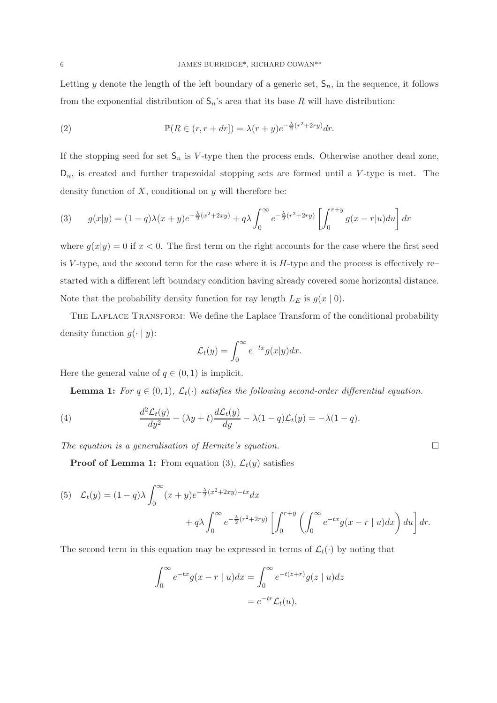Letting y denote the length of the left boundary of a generic set,  $\mathsf{S}_n$ , in the sequence, it follows from the exponential distribution of  $S_n$ 's area that its base R will have distribution:

(2) 
$$
\mathbb{P}(R \in (r, r+dr]) = \lambda(r+y)e^{-\frac{\lambda}{2}(r^2+2ry)}dr.
$$

If the stopping seed for set  $\mathsf{S}_n$  is V-type then the process ends. Otherwise another dead zone,  $D_n$ , is created and further trapezoidal stopping sets are formed until a V-type is met. The density function of  $X$ , conditional on  $y$  will therefore be:

(3) 
$$
g(x|y) = (1-q)\lambda(x+y)e^{-\frac{\lambda}{2}(x^2+2xy)} + q\lambda \int_0^\infty e^{-\frac{\lambda}{2}(r^2+2ry)} \left[ \int_0^{r+y} g(x-r|u) du \right] dr
$$

where  $g(x|y) = 0$  if  $x < 0$ . The first term on the right accounts for the case where the first seed is V-type, and the second term for the case where it is  $H$ -type and the process is effectively re– started with a different left boundary condition having already covered some horizontal distance. Note that the probability density function for ray length  $L_E$  is  $g(x | 0)$ .

The Laplace Transform: We define the Laplace Transform of the conditional probability density function  $q(\cdot | y)$ :

$$
\mathcal{L}_t(y) = \int_0^\infty e^{-tx} g(x|y) dx.
$$

Here the general value of  $q \in (0,1)$  is implicit.

**Lemma 1:** For  $q \in (0,1)$ ,  $\mathcal{L}_t(\cdot)$  satisfies the following second-order differential equation.

(4) 
$$
\frac{d^2 \mathcal{L}_t(y)}{dy^2} - (\lambda y + t) \frac{d \mathcal{L}_t(y)}{dy} - \lambda (1 - q) \mathcal{L}_t(y) = -\lambda (1 - q).
$$

The equation is a generalisation of Hermite's equation.  $\Box$ 

**Proof of Lemma 1:** From equation (3),  $\mathcal{L}_t(y)$  satisfies

(5) 
$$
\mathcal{L}_t(y) = (1-q)\lambda \int_0^\infty (x+y)e^{-\frac{\lambda}{2}(x^2+2xy)-tx}dx + q\lambda \int_0^\infty e^{-\frac{\lambda}{2}(r^2+2ry)} \left[ \int_0^{r+y} \left( \int_0^\infty e^{-tx}g(x-r\mid u)dx \right)du \right] dr.
$$

The second term in this equation may be expressed in terms of  $\mathcal{L}_t(\cdot)$  by noting that

$$
\int_0^\infty e^{-tx} g(x - r \mid u) dx = \int_0^\infty e^{-t(z+r)} g(z \mid u) dz
$$
  
= 
$$
e^{-tr} \mathcal{L}_t(u),
$$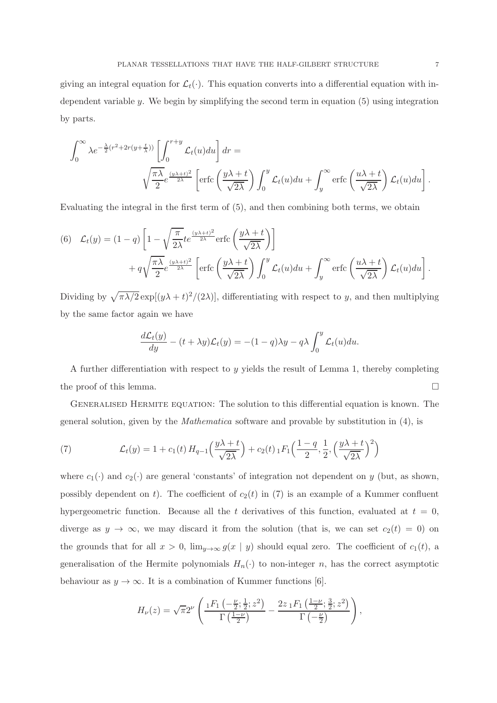giving an integral equation for  $\mathcal{L}_t(\cdot)$ . This equation converts into a differential equation with independent variable  $y$ . We begin by simplifying the second term in equation  $(5)$  using integration by parts.

$$
\int_0^\infty \lambda e^{-\frac{\lambda}{2}(r^2 + 2r(y + \frac{t}{\lambda}))} \left[ \int_0^{r+y} \mathcal{L}_t(u) du \right] dr =
$$
  

$$
\sqrt{\frac{\pi \lambda}{2}} e^{\frac{(y\lambda + t)^2}{2\lambda}} \left[ \text{erfc}\left(\frac{y\lambda + t}{\sqrt{2\lambda}}\right) \int_0^y \mathcal{L}_t(u) du + \int_y^\infty \text{erfc}\left(\frac{u\lambda + t}{\sqrt{2\lambda}}\right) \mathcal{L}_t(u) du \right].
$$

Evaluating the integral in the first term of (5), and then combining both terms, we obtain

(6) 
$$
\mathcal{L}_t(y) = (1-q) \left[ 1 - \sqrt{\frac{\pi}{2\lambda}} te^{\frac{(y\lambda+t)^2}{2\lambda}} \text{erfc}\left(\frac{y\lambda+t}{\sqrt{2\lambda}}\right) \right] + q\sqrt{\frac{\pi\lambda}{2}} e^{\frac{(y\lambda+t)^2}{2\lambda}} \left[ \text{erfc}\left(\frac{y\lambda+t}{\sqrt{2\lambda}}\right) \int_0^y \mathcal{L}_t(u) du + \int_y^\infty \text{erfc}\left(\frac{u\lambda+t}{\sqrt{2\lambda}}\right) \mathcal{L}_t(u) du \right].
$$

Dividing by  $\sqrt{\pi\lambda/2}$  exp[ $(y\lambda + t)^2/(2\lambda)$ ], differentiating with respect to y, and then multiplying by the same factor again we have

$$
\frac{d\mathcal{L}_t(y)}{dy} - (t + \lambda y)\mathcal{L}_t(y) = -(1 - q)\lambda y - q\lambda \int_0^y \mathcal{L}_t(u) du.
$$

A further differentiation with respect to y yields the result of Lemma 1, thereby completing the proof of this lemma.  $\Box$ 

GENERALISED HERMITE EQUATION: The solution to this differential equation is known. The general solution, given by the Mathematica software and provable by substitution in (4), is

(7) 
$$
\mathcal{L}_t(y) = 1 + c_1(t) H_{q-1}\left(\frac{y\lambda + t}{\sqrt{2\lambda}}\right) + c_2(t) \, {}_1F_1\left(\frac{1-q}{2}, \frac{1}{2}, \left(\frac{y\lambda + t}{\sqrt{2\lambda}}\right)^2\right)
$$

where  $c_1(\cdot)$  and  $c_2(\cdot)$  are general 'constants' of integration not dependent on y (but, as shown, possibly dependent on t). The coefficient of  $c_2(t)$  in (7) is an example of a Kummer confluent hypergeometric function. Because all the t derivatives of this function, evaluated at  $t = 0$ , diverge as  $y \to \infty$ , we may discard it from the solution (that is, we can set  $c_2(t) = 0$ ) on the grounds that for all  $x > 0$ ,  $\lim_{y\to\infty} g(x \mid y)$  should equal zero. The coefficient of  $c_1(t)$ , a generalisation of the Hermite polynomials  $H_n(\cdot)$  to non-integer n, has the correct asymptotic behaviour as  $y \to \infty$ . It is a combination of Kummer functions [6].

$$
H_{\nu}(z) = \sqrt{\pi}2^{\nu} \left( \frac{1F_1\left(-\frac{\nu}{2};\frac{1}{2};z^2\right)}{\Gamma\left(\frac{1-\nu}{2}\right)} - \frac{2z_1F_1\left(\frac{1-\nu}{2};\frac{3}{2};z^2\right)}{\Gamma\left(-\frac{\nu}{2}\right)} \right),
$$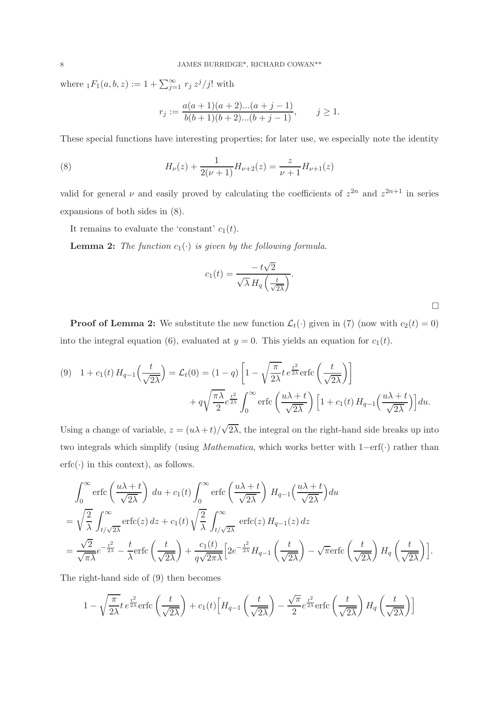where  $_1F_1(a, b, z) := 1 + \sum_{j=1}^{\infty} r_j z^j / j!$  with

$$
r_j := \frac{a(a+1)(a+2)...(a+j-1)}{b(b+1)(b+2)...(b+j-1)}, \qquad j \ge 1.
$$

These special functions have interesting properties; for later use, we especially note the identity

(8) 
$$
H_{\nu}(z) + \frac{1}{2(\nu+1)}H_{\nu+2}(z) = \frac{z}{\nu+1}H_{\nu+1}(z)
$$

valid for general  $\nu$  and easily proved by calculating the coefficients of  $z^{2n}$  and  $z^{2n+1}$  in series expansions of both sides in (8).

It remains to evaluate the 'constant'  $c_1(t)$ .

**Lemma 2:** The function  $c_1(\cdot)$  is given by the following formula.

$$
c_1(t) = \frac{-t\sqrt{2}}{\sqrt{\lambda} H_q\left(\frac{t}{\sqrt{2\lambda}}\right)}.
$$

 $\Box$ 

**Proof of Lemma 2:** We substitute the new function  $\mathcal{L}_t(\cdot)$  given in (7) (now with  $c_2(t) = 0$ ) into the integral equation (6), evaluated at  $y = 0$ . This yields an equation for  $c_1(t)$ .

(9) 
$$
1 + c_1(t) H_{q-1}\left(\frac{t}{\sqrt{2\lambda}}\right) = \mathcal{L}_t(0) = (1-q) \left[1 - \sqrt{\frac{\pi}{2\lambda}} t e^{\frac{t^2}{2\lambda}} \text{erfc}\left(\frac{t}{\sqrt{2\lambda}}\right) \right] + q \sqrt{\frac{\pi\lambda}{2}} e^{\frac{t^2}{2\lambda}} \int_0^\infty \text{erfc}\left(\frac{u\lambda + t}{\sqrt{2\lambda}}\right) \left[1 + c_1(t) H_{q-1}\left(\frac{u\lambda + t}{\sqrt{2\lambda}}\right) \right] du.
$$

Using a change of variable,  $z = (u\lambda + t)/\sqrt{2\lambda}$ , the integral on the right-hand side breaks up into two integrals which simplify (using Mathematica, which works better with 1−erf(·) rather than  $erfc(\cdot)$  in this context), as follows.

$$
\int_0^\infty \operatorname{erfc}\left(\frac{u\lambda+t}{\sqrt{2\lambda}}\right) du + c_1(t) \int_0^\infty \operatorname{erfc}\left(\frac{u\lambda+t}{\sqrt{2\lambda}}\right) H_{q-1}\left(\frac{u\lambda+t}{\sqrt{2\lambda}}\right) du
$$
  
\n
$$
= \sqrt{\frac{2}{\lambda}} \int_{t/\sqrt{2\lambda}}^\infty \operatorname{erfc}(z) dz + c_1(t) \sqrt{\frac{2}{\lambda}} \int_{t/\sqrt{2\lambda}}^\infty \operatorname{erfc}(z) H_{q-1}(z) dz
$$
  
\n
$$
= \frac{\sqrt{2}}{\sqrt{\pi\lambda}} e^{-\frac{t^2}{2\lambda}} - \frac{t}{\lambda} \operatorname{erfc}\left(\frac{t}{\sqrt{2\lambda}}\right) + \frac{c_1(t)}{q\sqrt{2\pi\lambda}} \left[2e^{-\frac{t^2}{2\lambda}} H_{q-1}\left(\frac{t}{\sqrt{2\lambda}}\right) - \sqrt{\pi} \operatorname{erfc}\left(\frac{t}{\sqrt{2\lambda}}\right) H_q\left(\frac{t}{\sqrt{2\lambda}}\right) \right].
$$

The right-hand side of (9) then becomes

$$
1 - \sqrt{\frac{\pi}{2\lambda}} t e^{\frac{t^2}{2\lambda}} \text{erfc}\left(\frac{t}{\sqrt{2\lambda}}\right) + c_1(t) \left[ H_{q-1}\left(\frac{t}{\sqrt{2\lambda}}\right) - \frac{\sqrt{\pi}}{2} e^{\frac{t^2}{2\lambda}} \text{erfc}\left(\frac{t}{\sqrt{2\lambda}}\right) H_q\left(\frac{t}{\sqrt{2\lambda}}\right) \right]
$$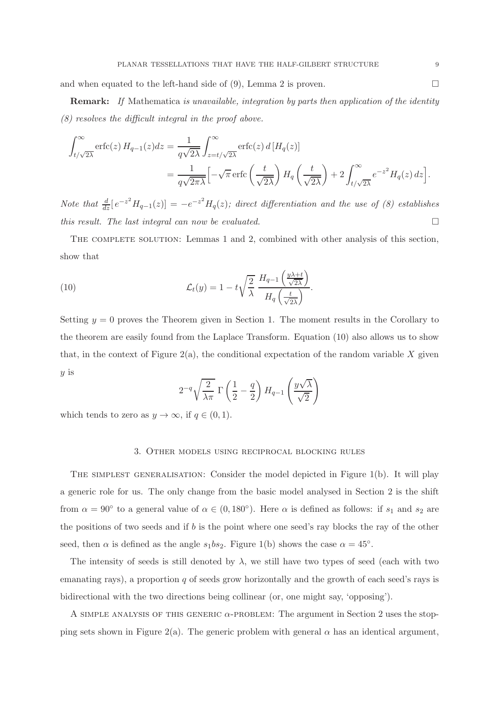and when equated to the left-hand side of (9), Lemma 2 is proven.  $\Box$ 

**Remark:** If Mathematica is unavailable, integration by parts then application of the identity (8) resolves the difficult integral in the proof above.

$$
\int_{t/\sqrt{2\lambda}}^{\infty} \operatorname{erfc}(z) H_{q-1}(z) dz = \frac{1}{q\sqrt{2\lambda}} \int_{z=t/\sqrt{2\lambda}}^{\infty} \operatorname{erfc}(z) d [H_q(z)]
$$
  
= 
$$
\frac{1}{q\sqrt{2\pi\lambda}} \left[ -\sqrt{\pi} \operatorname{erfc}\left(\frac{t}{\sqrt{2\lambda}}\right) H_q\left(\frac{t}{\sqrt{2\lambda}}\right) + 2 \int_{t/\sqrt{2\lambda}}^{\infty} e^{-z^2} H_q(z) dz \right].
$$

Note that  $\frac{d}{dz}[e^{-z^2}H_{q-1}(z)]=-e^{-z^2}H_q(z)$ ; direct differentiation and the use of (8) establishes this result. The last integral can now be evaluated.  $\square$ 

The complete solution: Lemmas 1 and 2, combined with other analysis of this section, show that

(10) 
$$
\mathcal{L}_t(y) = 1 - t \sqrt{\frac{2}{\lambda}} \frac{H_{q-1}\left(\frac{y\lambda + t}{\sqrt{2\lambda}}\right)}{H_q\left(\frac{t}{\sqrt{2\lambda}}\right)}.
$$

Setting  $y = 0$  proves the Theorem given in Section 1. The moment results in the Corollary to the theorem are easily found from the Laplace Transform. Equation (10) also allows us to show that, in the context of Figure 2(a), the conditional expectation of the random variable X given y is

$$
2^{-q}\sqrt{\frac{2}{\lambda\pi}}\,\,\Gamma\left(\frac{1}{2}-\frac{q}{2}\right)H_{q-1}\left(\frac{y\sqrt{\lambda}}{\sqrt{2}}\right)
$$

which tends to zero as  $y \to \infty$ , if  $q \in (0,1)$ .

#### 3. Other models using reciprocal blocking rules

THE SIMPLEST GENERALISATION: Consider the model depicted in Figure 1(b). It will play a generic role for us. The only change from the basic model analysed in Section 2 is the shift from  $\alpha = 90^{\circ}$  to a general value of  $\alpha \in (0, 180^{\circ})$ . Here  $\alpha$  is defined as follows: if  $s_1$  and  $s_2$  are the positions of two seeds and if b is the point where one seed's ray blocks the ray of the other seed, then  $\alpha$  is defined as the angle  $s_1bs_2$ . Figure 1(b) shows the case  $\alpha = 45^\circ$ .

The intensity of seeds is still denoted by  $\lambda$ , we still have two types of seed (each with two emanating rays), a proportion  $q$  of seeds grow horizontally and the growth of each seed's rays is bidirectional with the two directions being collinear (or, one might say, 'opposing').

A SIMPLE ANALYSIS OF THIS GENERIC  $\alpha$ -PROBLEM: The argument in Section 2 uses the stopping sets shown in Figure 2(a). The generic problem with general  $\alpha$  has an identical argument,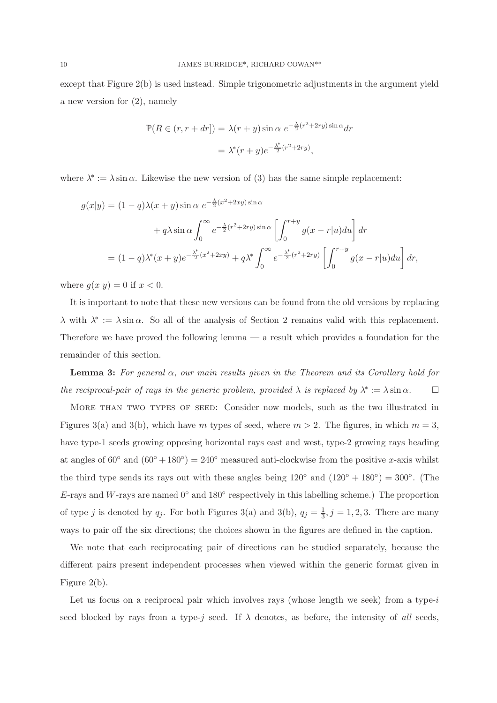except that Figure 2(b) is used instead. Simple trigonometric adjustments in the argument yield a new version for (2), namely

$$
\mathbb{P}(R \in (r, r + dr]) = \lambda(r + y)\sin \alpha \ e^{-\frac{\lambda}{2}(r^2 + 2ry)\sin \alpha} dr
$$

$$
= \lambda^*(r + y)e^{-\frac{\lambda^*}{2}(r^2 + 2ry)},
$$

where  $\lambda^* := \lambda \sin \alpha$ . Likewise the new version of (3) has the same simple replacement:

$$
g(x|y) = (1-q)\lambda(x+y)\sin\alpha \ e^{-\frac{\lambda}{2}(x^2+2xy)\sin\alpha} + q\lambda \sin\alpha \int_0^\infty e^{-\frac{\lambda}{2}(r^2+2ry)\sin\alpha} \left[ \int_0^{r+y} g(x-r|u)du \right] dr = (1-q)\lambda^*(x+y)e^{-\frac{\lambda^*}{2}(x^2+2xy)} + q\lambda^* \int_0^\infty e^{-\frac{\lambda^*}{2}(r^2+2ry)} \left[ \int_0^{r+y} g(x-r|u)du \right] dr,
$$

where  $g(x|y) = 0$  if  $x < 0$ .

It is important to note that these new versions can be found from the old versions by replacing  $\lambda$  with  $\lambda^* := \lambda \sin \alpha$ . So all of the analysis of Section 2 remains valid with this replacement. Therefore we have proved the following lemma — a result which provides a foundation for the remainder of this section.

**Lemma 3:** For general  $\alpha$ , our main results given in the Theorem and its Corollary hold for the reciprocal-pair of rays in the generic problem, provided  $\lambda$  is replaced by  $\lambda^* := \lambda \sin \alpha$ .

More than two types of seed: Consider now models, such as the two illustrated in Figures 3(a) and 3(b), which have m types of seed, where  $m > 2$ . The figures, in which  $m = 3$ , have type-1 seeds growing opposing horizontal rays east and west, type-2 growing rays heading at angles of  $60°$  and  $(60° + 180°) = 240°$  measured anti-clockwise from the positive x-axis whilst the third type sends its rays out with these angles being  $120°$  and  $(120° + 180°) = 300°$ . (The E-rays and W-rays are named  $0^{\circ}$  and  $180^{\circ}$  respectively in this labelling scheme.) The proportion of type j is denoted by  $q_j$ . For both Figures 3(a) and 3(b),  $q_j = \frac{1}{3}$  $\frac{1}{3}, j = 1, 2, 3$ . There are many ways to pair off the six directions; the choices shown in the figures are defined in the caption.

We note that each reciprocating pair of directions can be studied separately, because the different pairs present independent processes when viewed within the generic format given in Figure 2(b).

Let us focus on a reciprocal pair which involves rays (whose length we seek) from a type-i seed blocked by rays from a type-j seed. If  $\lambda$  denotes, as before, the intensity of all seeds,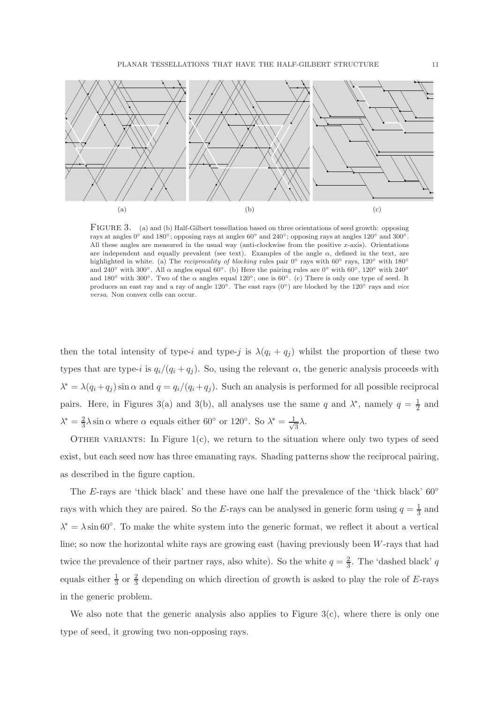

FIGURE 3. (a) and (b) Half-Gilbert tessellation based on three orientations of seed growth: opposing rays at angles  $0^{\circ}$  and  $180^{\circ}$ ; opposing rays at angles  $60^{\circ}$  and  $240^{\circ}$ ; opposing rays at angles  $120^{\circ}$  and  $300^{\circ}$ . All these angles are measured in the usual way (anti-clockwise from the positive  $x$ -axis). Orientations are independent and equally prevalent (see text). Examples of the angle  $\alpha$ , defined in the text, are highlighted in white. (a) The *reciprocality of blocking* rules pair 0° rays with 60° rays, 120° with 180° and 240° with 300°. All  $\alpha$  angles equal 60°. (b) Here the pairing rules are 0° with 60°, 120° with 240° and 180◦ with 300◦. Two of the α angles equal 120◦; one is 60◦. (c) There is only one type of seed. It produces an east ray and a ray of angle  $120°$ . The east rays  $(0°)$  are blocked by the  $120°$  rays and *vice* versa. Non convex cells can occur.

then the total intensity of type-i and type-j is  $\lambda(q_i + q_j)$  whilst the proportion of these two types that are type-i is  $q_i/(q_i+q_j)$ . So, using the relevant  $\alpha$ , the generic analysis proceeds with  $\lambda^* = \lambda(q_i + q_j) \sin \alpha$  and  $q = q_i/(q_i + q_j)$ . Such an analysis is performed for all possible reciprocal pairs. Here, in Figures 3(a) and 3(b), all analyses use the same q and  $\lambda^*$ , namely  $q = \frac{1}{2}$  $\frac{1}{2}$  and  $\lambda^*=\frac{2}{3}$  $\frac{2}{3}\lambda\sin\alpha$  where  $\alpha$  equals either 60° or 120°. So  $\lambda^*=\frac{1}{\sqrt{3}}$  $\frac{1}{3}\lambda$ .

OTHER VARIANTS: In Figure  $1(c)$ , we return to the situation where only two types of seed exist, but each seed now has three emanating rays. Shading patterns show the reciprocal pairing, as described in the figure caption.

The E-rays are 'thick black' and these have one half the prevalence of the 'thick black'  $60^{\circ}$ rays with which they are paired. So the E-rays can be analysed in generic form using  $q = \frac{1}{3}$  and  $\lambda^* = \lambda \sin 60^\circ$ . To make the white system into the generic format, we reflect it about a vertical line; so now the horizontal white rays are growing east (having previously been W-rays that had twice the prevalence of their partner rays, also white). So the white  $q = \frac{2}{3}$ . The 'dashed black' q equals either  $\frac{1}{3}$  or  $\frac{2}{3}$  depending on which direction of growth is asked to play the role of E-rays in the generic problem.

We also note that the generic analysis also applies to Figure  $3(c)$ , where there is only one type of seed, it growing two non-opposing rays.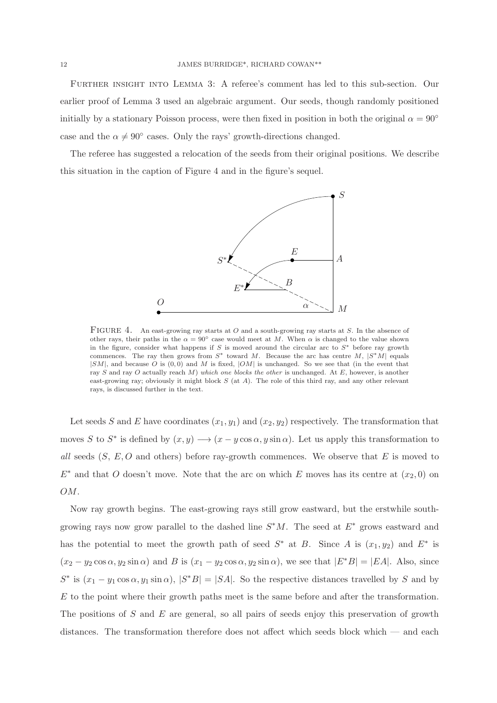Further insight into Lemma 3: A referee's comment has led to this sub-section. Our earlier proof of Lemma 3 used an algebraic argument. Our seeds, though randomly positioned initially by a stationary Poisson process, were then fixed in position in both the original  $\alpha = 90^{\circ}$ case and the  $\alpha \neq 90^{\circ}$  cases. Only the rays' growth-directions changed.

The referee has suggested a relocation of the seeds from their original positions. We describe this situation in the caption of Figure 4 and in the figure's sequel.



FIGURE 4. An east-growing ray starts at O and a south-growing ray starts at S. In the absence of other rays, their paths in the  $\alpha = 90^{\circ}$  case would meet at M. When  $\alpha$  is changed to the value shown in the figure, consider what happens if S is moved around the circular arc to  $S^*$  before ray growth commences. The ray then grows from  $S^*$  toward M. Because the arc has centre M,  $|S^*M|$  equals  $|SM|$ , and because O is  $(0,0)$  and M is fixed,  $|OM|$  is unchanged. So we see that (in the event that ray S and ray O actually reach M) which one blocks the other is unchanged. At  $E$ , however, is another east-growing ray; obviously it might block  $S$  (at  $A$ ). The role of this third ray, and any other relevant rays, is discussed further in the text.

Let seeds S and E have coordinates  $(x_1, y_1)$  and  $(x_2, y_2)$  respectively. The transformation that moves S to S<sup>\*</sup> is defined by  $(x, y) \longrightarrow (x - y \cos \alpha, y \sin \alpha)$ . Let us apply this transformation to all seeds  $(S, E, O)$  and others) before ray-growth commences. We observe that E is moved to  $E^*$  and that O doesn't move. Note that the arc on which E moves has its centre at  $(x_2, 0)$  on OM.

Now ray growth begins. The east-growing rays still grow eastward, but the erstwhile southgrowing rays now grow parallel to the dashed line  $S^*M$ . The seed at  $E^*$  grows eastward and has the potential to meet the growth path of seed  $S^*$  at B. Since A is  $(x_1, y_2)$  and  $E^*$  is  $(x_2 - y_2 \cos \alpha, y_2 \sin \alpha)$  and B is  $(x_1 - y_2 \cos \alpha, y_2 \sin \alpha)$ , we see that  $|E^*B| = |EA|$ . Also, since  $S^*$  is  $(x_1 - y_1 \cos \alpha, y_1 \sin \alpha)$ ,  $|S^*B| = |SA|$ . So the respective distances travelled by S and by E to the point where their growth paths meet is the same before and after the transformation. The positions of S and E are general, so all pairs of seeds enjoy this preservation of growth distances. The transformation therefore does not affect which seeds block which — and each